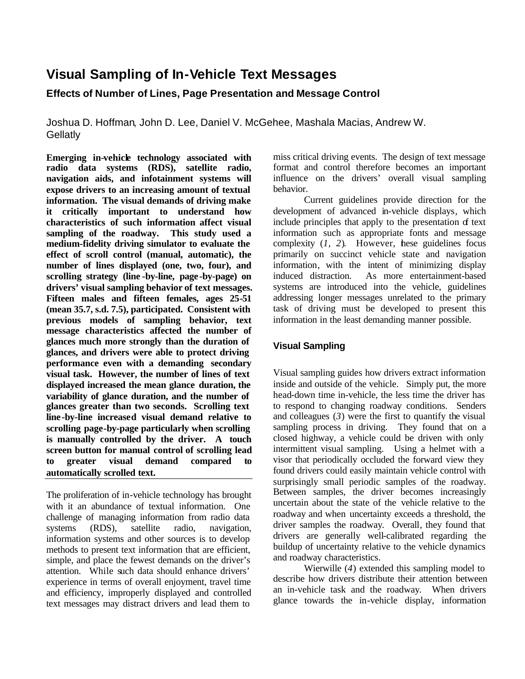# **Visual Sampling of In-Vehicle Text Messages**

# **Effects of Number of Lines, Page Presentation and Message Control**

Joshua D. Hoffman, John D. Lee, Daniel V. McGehee, Mashala Macias, Andrew W. **Gellatly** 

Emerging in-vehicle technology associated with **radio data systems (RDS), satellite radio, navigation aids, and infotainment systems will expose drivers to an increasing amount of textual information. The visual demands of driving make it critically important to understand how characteristics of such information affect visual sampling of the roadway. This study used a medium-fidelity driving simulator to evaluate the effect of scroll control (manual, automatic), the number of lines displayed (one, two, four), and scrolling strategy (line -by-line, page-by-page) on drivers' visual sampling behavior of text messages. Fifteen males and fifteen females, ages 25-51 (mean 35.7, s.d. 7.5), participated. Consistent with previous models of sampling behavior, text message characteristics affected the number of glances much more strongly than the duration of glances, and drivers were able to protect driving performance even with a demanding secondary visual task. However, the number of lines of text displayed increased the mean glance duration, the variability of glance duration, and the number of glances greater than two seconds. Scrolling text line -by-line increased visual demand relative to scrolling page-by-page particularly when scrolling is manually controlled by the driver. A touch screen button for manual control of scrolling lead to greater visual demand compared to automatically scrolled text.**

The proliferation of in-vehicle technology has brought with it an abundance of textual information. One challenge of managing information from radio data systems (RDS), satellite radio, navigation, information systems and other sources is to develop methods to present text information that are efficient, simple, and place the fewest demands on the driver's attention. While such data should enhance drivers' experience in terms of overall enjoyment, travel time and efficiency, improperly displayed and controlled text messages may distract drivers and lead them to

miss critical driving events. The design of text message format and control therefore becomes an important influence on the drivers' overall visual sampling behavior.

Current guidelines provide direction for the development of advanced in-vehicle displays, which include principles that apply to the presentation of text information such as appropriate fonts and message complexity  $(1, 2)$ . However, hese guidelines focus primarily on succinct vehicle state and navigation information, with the intent of minimizing display induced distraction. As more entertainment-based systems are introduced into the vehicle, guidelines addressing longer messages unrelated to the primary task of driving must be developed to present this information in the least demanding manner possible.

# **Visual Sampling**

Visual sampling guides how drivers extract information inside and outside of the vehicle. Simply put, the more head-down time in-vehicle, the less time the driver has to respond to changing roadway conditions. Senders and colleagues (*3*) were the first to quantify the visual sampling process in driving. They found that on a closed highway, a vehicle could be driven with only intermittent visual sampling. Using a helmet with a visor that periodically occluded the forward view they found drivers could easily maintain vehicle control with surprisingly small periodic samples of the roadway. Between samples, the driver becomes increasingly uncertain about the state of the vehicle relative to the roadway and when uncertainty exceeds a threshold, the driver samples the roadway. Overall, they found that drivers are generally well-calibrated regarding the buildup of uncertainty relative to the vehicle dynamics and roadway characteristics.

Wierwille (*4*) extended this sampling model to describe how drivers distribute their attention between an in-vehicle task and the roadway. When drivers glance towards the in-vehicle display, information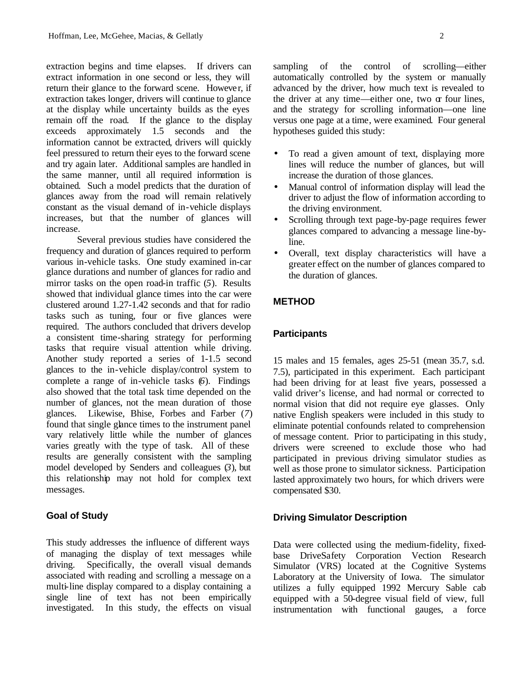extraction begins and time elapses. If drivers can extract information in one second or less, they will return their glance to the forward scene. However, if extraction takes longer, drivers will continue to glance at the display while uncertainty builds as the eyes remain off the road. If the glance to the display exceeds approximately 1.5 seconds and the information cannot be extracted, drivers will quickly feel pressured to return their eyes to the forward scene and try again later. Additional samples are handled in the same manner, until all required information is obtained. Such a model predicts that the duration of glances away from the road will remain relatively constant as the visual demand of in-vehicle displays increases, but that the number of glances will increase.

Several previous studies have considered the frequency and duration of glances required to perform various in-vehicle tasks. One study examined in-car glance durations and number of glances for radio and mirror tasks on the open road-in traffic (*5*). Results showed that individual glance times into the car were clustered around 1.27-1.42 seconds and that for radio tasks such as tuning, four or five glances were required. The authors concluded that drivers develop a consistent time-sharing strategy for performing tasks that require visual attention while driving. Another study reported a series of 1-1.5 second glances to the in-vehicle display/control system to complete a range of in-vehicle tasks (*6*). Findings also showed that the total task time depended on the number of glances, not the mean duration of those glances. Likewise, Bhise, Forbes and Farber (*7*) found that single glance times to the instrument panel vary relatively little while the number of glances varies greatly with the type of task. All of these results are generally consistent with the sampling model developed by Senders and colleagues (*3*), but this relationship may not hold for complex text messages.

#### **Goal of Study**

This study addresses the influence of different ways of managing the display of text messages while driving. Specifically, the overall visual demands associated with reading and scrolling a message on a multi-line display compared to a display containing a single line of text has not been empirically investigated. In this study, the effects on visual sampling of the control of scrolling—either automatically controlled by the system or manually advanced by the driver, how much text is revealed to the driver at any time—either one, two  $\alpha$  four lines, and the strategy for scrolling information—one line versus one page at a time, were examined. Four general hypotheses guided this study:

- To read a given amount of text, displaying more lines will reduce the number of glances, but will increase the duration of those glances.
- Manual control of information display will lead the driver to adjust the flow of information according to the driving environment.
- Scrolling through text page-by-page requires fewer glances compared to advancing a message line-byline.
- Overall, text display characteristics will have a greater effect on the number of glances compared to the duration of glances.

#### **METHOD**

#### **Participants**

15 males and 15 females, ages 25-51 (mean 35.7, s.d. 7.5), participated in this experiment. Each participant had been driving for at least five years, possessed a valid driver's license, and had normal or corrected to normal vision that did not require eye glasses. Only native English speakers were included in this study to eliminate potential confounds related to comprehension of message content. Prior to participating in this study, drivers were screened to exclude those who had participated in previous driving simulator studies as well as those prone to simulator sickness. Participation lasted approximately two hours, for which drivers were compensated \$30.

#### **Driving Simulator Description**

Data were collected using the medium-fidelity, fixedbase DriveSafety Corporation Vection Research Simulator (VRS) located at the Cognitive Systems Laboratory at the University of Iowa. The simulator utilizes a fully equipped 1992 Mercury Sable cab equipped with a 50-degree visual field of view, full instrumentation with functional gauges, a force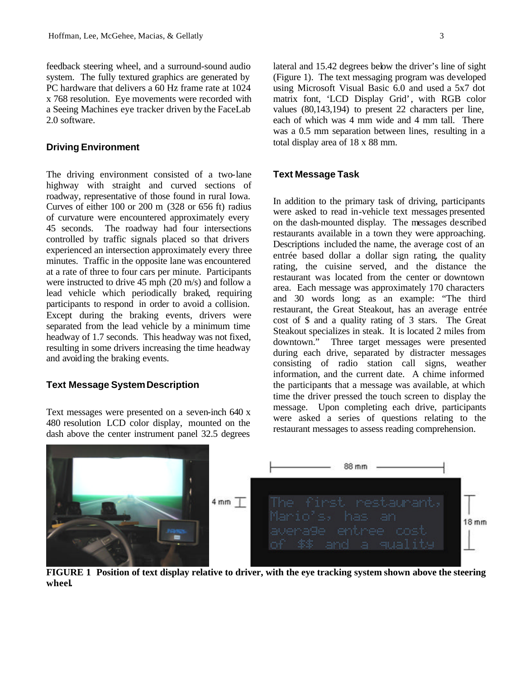feedback steering wheel, and a surround-sound audio system. The fully textured graphics are generated by PC hardware that delivers a 60 Hz frame rate at 1024 x 768 resolution. Eye movements were recorded with a Seeing Machines eye tracker driven by the FaceLab 2.0 software.

#### **Driving Environment**

The driving environment consisted of a two-lane highway with straight and curved sections of roadway, representative of those found in rural Iowa. Curves of either 100 or 200 m (328 or 656 ft) radius of curvature were encountered approximately every 45 seconds. The roadway had four intersections controlled by traffic signals placed so that drivers experienced an intersection approximately every three minutes. Traffic in the opposite lane was encountered at a rate of three to four cars per minute. Participants were instructed to drive 45 mph (20 m/s) and follow a lead vehicle which periodically braked, requiring participants to respond in order to avoid a collision. Except during the braking events, drivers were separated from the lead vehicle by a minimum time headway of 1.7 seconds. This headway was not fixed, resulting in some drivers increasing the time headway and avoiding the braking events.

#### **Text Message System Description**

Text messages were presented on a seven-inch 640 x 480 resolution LCD color display, mounted on the dash above the center instrument panel 32.5 degrees

lateral and 15.42 degrees below the driver's line of sight (Figure 1). The text messaging program was developed using Microsoft Visual Basic 6.0 and used a 5x7 dot matrix font, 'LCD Display Grid', with RGB color values (80,143,194) to present 22 characters per line, each of which was 4 mm wide and 4 mm tall. There was a 0.5 mm separation between lines, resulting in a total display area of 18 x 88 mm.

## **Text Message Task**

In addition to the primary task of driving, participants were asked to read in-vehicle text messages presented on the dash-mounted display. The messages described restaurants available in a town they were approaching. Descriptions included the name, the average cost of an entrée based dollar a dollar sign rating, the quality rating, the cuisine served, and the distance the restaurant was located from the center or downtown area. Each message was approximately 170 characters and 30 words long; as an example: "The third restaurant, the Great Steakout, has an average entrée cost of \$ and a quality rating of 3 stars. The Great Steakout specializes in steak. It is located 2 miles from downtown." Three target messages were presented during each drive, separated by distracter messages consisting of radio station call signs, weather information, and the current date. A chime informed the participants that a message was available, at which time the driver pressed the touch screen to display the message. Upon completing each drive, participants were asked a series of questions relating to the restaurant messages to assess reading comprehension.



**FIGURE 1 Position of text display relative to driver, with the eye tracking system shown above the steering wheel.**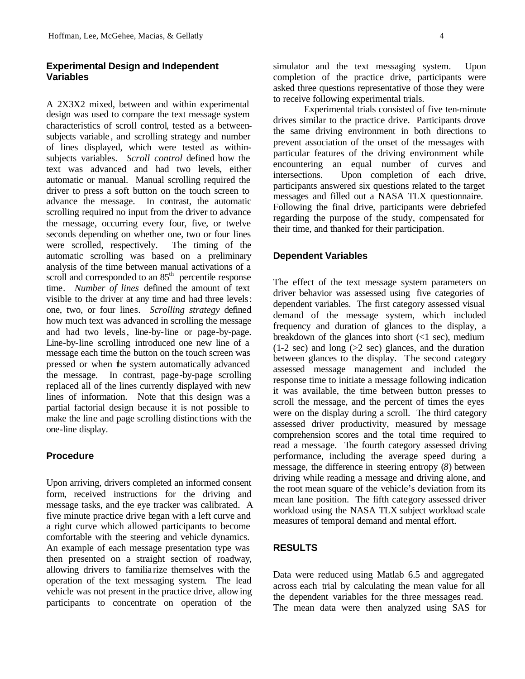## **Experimental Design and Independent Variables**

A 2X3X2 mixed, between and within experimental design was used to compare the text message system characteristics of scroll control, tested as a betweensubjects variable , and scrolling strategy and number of lines displayed, which were tested as withinsubjects variables. *Scroll control* defined how the text was advanced and had two levels, either automatic or manual. Manual scrolling required the driver to press a soft button on the touch screen to advance the message. In contrast, the automatic scrolling required no input from the driver to advance the message, occurring every four, five, or twelve seconds depending on whether one, two or four lines were scrolled, respectively. The timing of the automatic scrolling was based on a preliminary analysis of the time between manual activations of a scroll and corresponded to an 85<sup>th</sup> percentile response time. *Number of lines* defined the amount of text visible to the driver at any time and had three levels: one, two, or four lines. *Scrolling strategy* defined how much text was advanced in scrolling the message and had two levels, line-by-line or page-by-page. Line-by-line scrolling introduced one new line of a message each time the button on the touch screen was pressed or when the system automatically advanced the message. In contrast, page-by-page scrolling replaced all of the lines currently displayed with new lines of information. Note that this design was a partial factorial design because it is not possible to make the line and page scrolling distinctions with the one-line display.

## **Procedure**

Upon arriving, drivers completed an informed consent form, received instructions for the driving and message tasks, and the eye tracker was calibrated. A five minute practice drive began with a left curve and a right curve which allowed participants to become comfortable with the steering and vehicle dynamics. An example of each message presentation type was then presented on a straight section of roadway, allowing drivers to familia rize themselves with the operation of the text messaging system. The lead vehicle was not present in the practice drive, allowing participants to concentrate on operation of the

simulator and the text messaging system. Upon completion of the practice drive, participants were asked three questions representative of those they were to receive following experimental trials.

Experimental trials consisted of five ten-minute drives similar to the practice drive. Participants drove the same driving environment in both directions to prevent association of the onset of the messages with particular features of the driving environment while encountering an equal number of curves and intersections. Upon completion of each drive, participants answered six questions related to the target messages and filled out a NASA TLX questionnaire. Following the final drive, participants were debriefed regarding the purpose of the study, compensated for their time, and thanked for their participation.

#### **Dependent Variables**

The effect of the text message system parameters on driver behavior was assessed using five categories of dependent variables. The first category assessed visual demand of the message system, which included frequency and duration of glances to the display, a breakdown of the glances into short  $($ 1) sec), medium  $(1-2 \text{ sec})$  and long  $(>2 \text{ sec})$  glances, and the duration between glances to the display. The second category assessed message management and included the response time to initiate a message following indication it was available, the time between button presses to scroll the message, and the percent of times the eyes were on the display during a scroll. The third category assessed driver productivity, measured by message comprehension scores and the total time required to read a message. The fourth category assessed driving performance, including the average speed during a message, the difference in steering entropy (*8*) between driving while reading a message and driving alone, and the root mean square of the vehicle's deviation from its mean lane position. The fifth category assessed driver workload using the NASA TLX subject workload scale measures of temporal demand and mental effort.

### **RESULTS**

Data were reduced using Matlab 6.5 and aggregated across each trial by calculating the mean value for all the dependent variables for the three messages read. The mean data were then analyzed using SAS for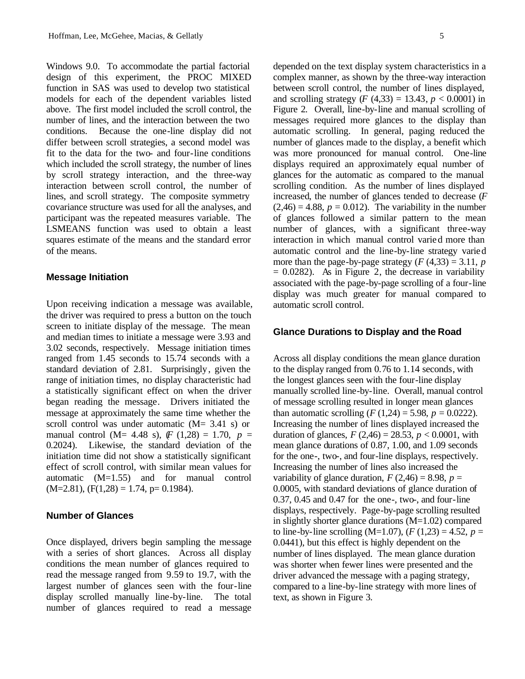Windows 9.0. To accommodate the partial factorial design of this experiment, the PROC MIXED function in SAS was used to develop two statistical models for each of the dependent variables listed above. The first model included the scroll control, the number of lines, and the interaction between the two conditions. Because the one-line display did not differ between scroll strategies, a second model was fit to the data for the two- and four-line conditions which included the scroll strategy, the number of lines by scroll strategy interaction, and the three-way interaction between scroll control, the number of lines, and scroll strategy. The composite symmetry covariance structure was used for all the analyses, and participant was the repeated measures variable. The LSMEANS function was used to obtain a least squares estimate of the means and the standard error of the means.

#### **Message Initiation**

Upon receiving indication a message was available, the driver was required to press a button on the touch screen to initiate display of the message. The mean and median times to initiate a message were 3.93 and 3.02 seconds, respectively. Message initiation times ranged from 1.45 seconds to 15.74 seconds with a standard deviation of 2.81. Surprisingly, given the range of initiation times, no display characteristic had a statistically significant effect on when the driver began reading the message. Drivers initiated the message at approximately the same time whether the scroll control was under automatic (M= 3.41 s) or manual control (M= 4.48 s),  $(F (1,28) = 1.70, p =$ 0.2024). Likewise, the standard deviation of the initiation time did not show a statistically significant effect of scroll control, with similar mean values for automatic (M=1.55) and for manual control  $(M=2.81)$ ,  $(F(1,28) = 1.74, p= 0.1984)$ .

#### **Number of Glances**

Once displayed, drivers begin sampling the message with a series of short glances. Across all display conditions the mean number of glances required to read the message ranged from 9.59 to 19.7, with the largest number of glances seen with the four-line display scrolled manually line-by-line. The total number of glances required to read a message depended on the text display system characteristics in a complex manner, as shown by the three-way interaction between scroll control, the number of lines displayed, and scrolling strategy (*F* (4,33) = 13.43,  $p < 0.0001$ ) in Figure 2. Overall, line-by-line and manual scrolling of messages required more glances to the display than automatic scrolling. In general, paging reduced the number of glances made to the display, a benefit which was more pronounced for manual control. One-line displays required an approximately equal number of glances for the automatic as compared to the manual scrolling condition. As the number of lines displayed increased, the number of glances tended to decrease (*F*  $(2,46) = 4.88$ ,  $p = 0.012$ ). The variability in the number of glances followed a similar pattern to the mean number of glances, with a significant three-way interaction in which manual control varied more than automatic control and the line-by-line strategy varied more than the page-by-page strategy  $(F(4,33) = 3.11, p$  $= 0.0282$ . As in Figure 2, the decrease in variability associated with the page-by-page scrolling of a four-line display was much greater for manual compared to automatic scroll control.

#### **Glance Durations to Display and the Road**

Across all display conditions the mean glance duration to the display ranged from 0.76 to 1.14 seconds, with the longest glances seen with the four-line display manually scrolled line-by-line. Overall, manual control of message scrolling resulted in longer mean glances than automatic scrolling (*F* (1,24) = 5.98, *p* = 0.0222). Increasing the number of lines displayed increased the duration of glances,  $F(2,46) = 28.53$ ,  $p < 0.0001$ , with mean glance durations of 0.87, 1.00, and 1.09 seconds for the one-, two-, and four-line displays, respectively. Increasing the number of lines also increased the variability of glance duration,  $F(2,46) = 8.98$ ,  $p =$ 0.0005, with standard deviations of glance duration of 0.37, 0.45 and 0.47 for the one-, two-, and four-line displays, respectively. Page-by-page scrolling resulted in slightly shorter glance durations (M=1.02) compared to line-by-line scrolling (M=1.07),  $(F(1,23) = 4.52, p =$ 0.0441), but this effect is highly dependent on the number of lines displayed. The mean glance duration was shorter when fewer lines were presented and the driver advanced the message with a paging strategy, compared to a line-by-line strategy with more lines of text, as shown in Figure 3.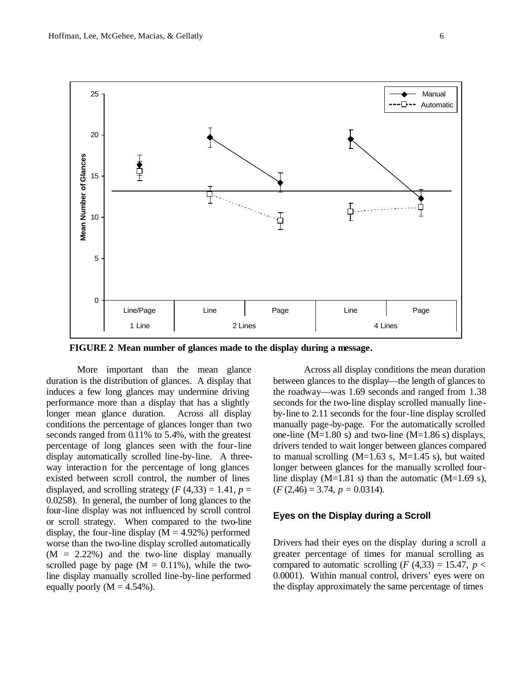

**FIGURE 2 Mean number of glances made to the display during a message.**

More important than the mean glance duration is the distribution of glances. A display that induces a few long glances may undermine driving performance more than a display that has a slightly longer mean glance duration. Across all display conditions the percentage of glances longer than two seconds ranged from 0.11% to 5.4%, with the greatest percentage of long glances seen with the four-line display automatically scrolled line-by-line. A threeway interaction for the percentage of long glances existed between scroll control, the number of lines displayed, and scrolling strategy  $(F(4,33) = 1.41, p =$ 0.0258). In general, the number of long glances to the four-line display was not influenced by scroll control or scroll strategy. When compared to the two-line display, the four-line display  $(M = 4.92\%)$  performed worse than the two-line display scrolled automatically  $(M = 2.22\%)$  and the two-line display manually scrolled page by page  $(M = 0.11\%)$ , while the twoline display manually scrolled line-by-line performed equally poorly  $(M = 4.54\%)$ .

Across all display conditions the mean duration between glances to the display—the length of glances to the roadway—was 1.69 seconds and ranged from 1.38 seconds for the two-line display scrolled manually lineby-line to 2.11 seconds for the four-line display scrolled manually page-by-page. For the automatically scrolled one-line (M=1.80 s) and two-line (M=1.86 s) displays, drivers tended to wait longer between glances compared to manual scrolling  $(M=1.63 \text{ s}, M=1.45 \text{ s})$ , but waited longer between glances for the manually scrolled fourline display (M=1.81 s) than the automatic (M=1.69 s),  $(F(2,46) = 3.74, p = 0.0314).$ 

#### **Eyes on the Display during a Scroll**

Drivers had their eyes on the display during a scroll a greater percentage of times for manual scrolling as compared to automatic scrolling  $(F(4,33) = 15.47, p <$ 0.0001). Within manual control, drivers' eyes were on the display approximately the same percentage of times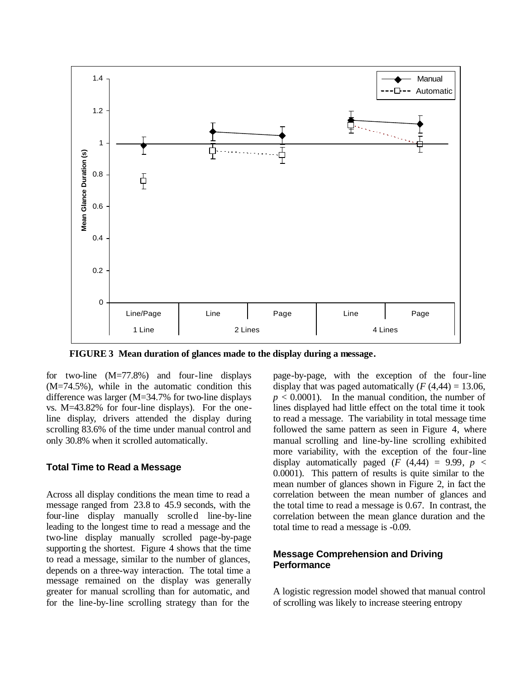

**FIGURE 3 Mean duration of glances made to the display during a message.**

for two-line (M=77.8%) and four-line displays (M=74.5%), while in the automatic condition this difference was larger (M=34.7% for two-line displays vs. M=43.82% for four-line displays). For the oneline display, drivers attended the display during scrolling 83.6% of the time under manual control and only 30.8% when it scrolled automatically.

## **Total Time to Read a Message**

Across all display conditions the mean time to read a message ranged from 23.8 to 45.9 seconds, with the four-line display manually scrolled line-by-line leading to the longest time to read a message and the two-line display manually scrolled page-by-page supporting the shortest. Figure 4 shows that the time to read a message, similar to the number of glances, depends on a three-way interaction. The total time a message remained on the display was generally greater for manual scrolling than for automatic, and for the line-by-line scrolling strategy than for the

page-by-page, with the exception of the four-line display that was paged automatically  $(F(4, 44) = 13.06,$  $p < 0.0001$ ). In the manual condition, the number of lines displayed had little effect on the total time it took to read a message. The variability in total message time followed the same pattern as seen in Figure 4, where manual scrolling and line-by-line scrolling exhibited more variability, with the exception of the four-line display automatically paged  $(F (4,44) = 9.99, p <$ 0.0001). This pattern of results is quite similar to the mean number of glances shown in Figure 2, in fact the correlation between the mean number of glances and the total time to read a message is 0.67. In contrast, the correlation between the mean glance duration and the total time to read a message is -0.09.

## **Message Comprehension and Driving Performance**

A logistic regression model showed that manual control of scrolling was likely to increase steering entropy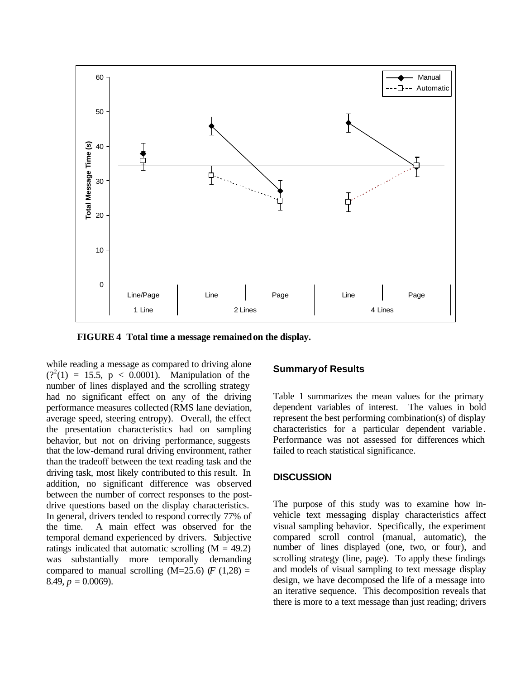

**FIGURE 4 Total time a message remained on the display.**

while reading a message as compared to driving alone  $(?)^2(1) = 15.5, p < 0.0001$ . Manipulation of the number of lines displayed and the scrolling strategy had no significant effect on any of the driving performance measures collected (RMS lane deviation, average speed, steering entropy). Overall, the effect the presentation characteristics had on sampling behavior, but not on driving performance, suggests that the low-demand rural driving environment, rather than the tradeoff between the text reading task and the driving task, most likely contributed to this result. In addition, no significant difference was observed between the number of correct responses to the postdrive questions based on the display characteristics. In general, drivers tended to respond correctly 77% of the time. A main effect was observed for the temporal demand experienced by drivers. Subjective ratings indicated that automatic scrolling  $(M = 49.2)$ was substantially more temporally demanding compared to manual scrolling  $(M=25.6)$   $(F (1,28) =$  $8.49, p = 0.0069$ .

## **Summary of Results**

Table 1 summarizes the mean values for the primary dependent variables of interest. The values in bold represent the best performing combination(s) of display characteristics for a particular dependent variable . Performance was not assessed for differences which failed to reach statistical significance.

#### **DISCUSSION**

The purpose of this study was to examine how invehicle text messaging display characteristics affect visual sampling behavior. Specifically, the experiment compared scroll control (manual, automatic), the number of lines displayed (one, two, or four), and scrolling strategy (line, page). To apply these findings and models of visual sampling to text message display design, we have decomposed the life of a message into an iterative sequence. This decomposition reveals that there is more to a text message than just reading; drivers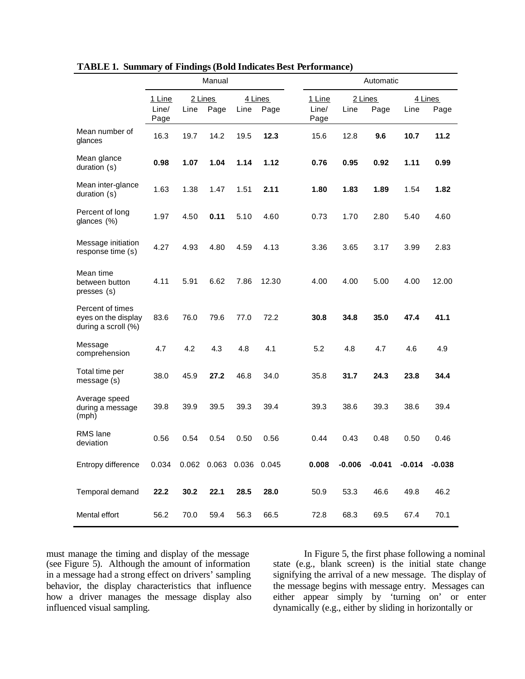|                                                                | Manual                  |      |                         |      |                 | Automatic               |          |                 |          |                 |  |
|----------------------------------------------------------------|-------------------------|------|-------------------------|------|-----------------|-------------------------|----------|-----------------|----------|-----------------|--|
|                                                                | 1 Line<br>Line/<br>Page | Line | 2 Lines<br>Page         | Line | 4 Lines<br>Page | 1 Line<br>Line/<br>Page | Line     | 2 Lines<br>Page | Line     | 4 Lines<br>Page |  |
| Mean number of<br>glances                                      | 16.3                    | 19.7 | 14.2                    | 19.5 | 12.3            | 15.6                    | 12.8     | 9.6             | 10.7     | 11.2            |  |
| Mean glance<br>duration (s)                                    | 0.98                    | 1.07 | 1.04                    | 1.14 | 1.12            | 0.76                    | 0.95     | 0.92            | 1.11     | 0.99            |  |
| Mean inter-glance<br>duration (s)                              | 1.63                    | 1.38 | 1.47                    | 1.51 | 2.11            | 1.80                    | 1.83     | 1.89            | 1.54     | 1.82            |  |
| Percent of long<br>glances (%)                                 | 1.97                    | 4.50 | 0.11                    | 5.10 | 4.60            | 0.73                    | 1.70     | 2.80            | 5.40     | 4.60            |  |
| Message initiation<br>response time (s)                        | 4.27                    | 4.93 | 4.80                    | 4.59 | 4.13            | 3.36                    | 3.65     | 3.17            | 3.99     | 2.83            |  |
| Mean time<br>between button<br>presses (s)                     | 4.11                    | 5.91 | 6.62                    | 7.86 | 12.30           | 4.00                    | 4.00     | 5.00            | 4.00     | 12.00           |  |
| Percent of times<br>eyes on the display<br>during a scroll (%) | 83.6                    | 76.0 | 79.6                    | 77.0 | 72.2            | 30.8                    | 34.8     | 35.0            | 47.4     | 41.1            |  |
| Message<br>comprehension                                       | 4.7                     | 4.2  | 4.3                     | 4.8  | 4.1             | 5.2                     | 4.8      | 4.7             | 4.6      | 4.9             |  |
| Total time per<br>message (s)                                  | 38.0                    | 45.9 | 27.2                    | 46.8 | 34.0            | 35.8                    | 31.7     | 24.3            | 23.8     | 34.4            |  |
| Average speed<br>during a message<br>(mph)                     | 39.8                    | 39.9 | 39.5                    | 39.3 | 39.4            | 39.3                    | 38.6     | 39.3            | 38.6     | 39.4            |  |
| RMS lane<br>deviation                                          | 0.56                    | 0.54 | 0.54                    | 0.50 | 0.56            | 0.44                    | 0.43     | 0.48            | 0.50     | 0.46            |  |
| Entropy difference                                             | 0.034                   |      | 0.062 0.063 0.036 0.045 |      |                 | 0.008                   | $-0.006$ | $-0.041$        | $-0.014$ | $-0.038$        |  |
| Temporal demand                                                | 22.2                    | 30.2 | 22.1                    | 28.5 | 28.0            | 50.9                    | 53.3     | 46.6            | 49.8     | 46.2            |  |
| Mental effort                                                  | 56.2                    | 70.0 | 59.4                    | 56.3 | 66.5            | 72.8                    | 68.3     | 69.5            | 67.4     | 70.1            |  |

**TABLE 1. Summary of Findings (Bold Indicates Best Performance)**

must manage the timing and display of the message (see Figure 5). Although the amount of information in a message had a strong effect on drivers' sampling behavior, the display characteristics that influence how a driver manages the message display also influenced visual sampling.

In Figure 5, the first phase following a nominal state (e.g., blank screen) is the initial state change signifying the arrival of a new message. The display of the message begins with message entry. Messages can either appear simply by 'turning on' or enter dynamically (e.g., either by sliding in horizontally or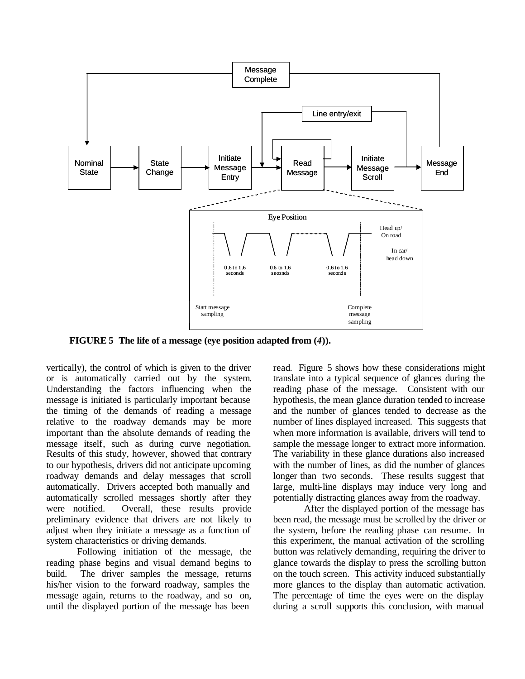

**FIGURE 5 The life of a message (eye position adapted from (***4***)).**

vertically), the control of which is given to the driver or is automatically carried out by the system. Understanding the factors influencing when the message is initiated is particularly important because the timing of the demands of reading a message relative to the roadway demands may be more important than the absolute demands of reading the message itself, such as during curve negotiation. Results of this study, however, showed that contrary to our hypothesis, drivers did not anticipate upcoming roadway demands and delay messages that scroll automatically. Drivers accepted both manually and automatically scrolled messages shortly after they were notified. Overall, these results provide preliminary evidence that drivers are not likely to adjust when they initiate a message as a function of system characteristics or driving demands.

Following initiation of the message, the reading phase begins and visual demand begins to build. The driver samples the message, returns his/her vision to the forward roadway, samples the message again, returns to the roadway, and so on, until the displayed portion of the message has been

read. Figure 5 shows how these considerations might translate into a typical sequence of glances during the reading phase of the message. Consistent with our hypothesis, the mean glance duration tended to increase and the number of glances tended to decrease as the number of lines displayed increased. This suggests that when more information is available, drivers will tend to sample the message longer to extract more information. The variability in these glance durations also increased with the number of lines, as did the number of glances longer than two seconds. These results suggest that large, multi-line displays may induce very long and potentially distracting glances away from the roadway.

After the displayed portion of the message has been read, the message must be scrolled by the driver or the system, before the reading phase can resume. In this experiment, the manual activation of the scrolling button was relatively demanding, requiring the driver to glance towards the display to press the scrolling button on the touch screen. This activity induced substantially more glances to the display than automatic activation. The percentage of time the eyes were on the display during a scroll supports this conclusion, with manual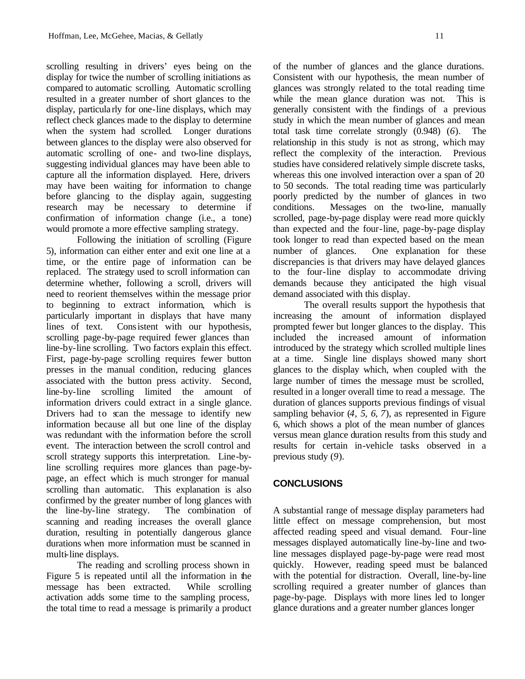scrolling resulting in drivers' eyes being on the display for twice the number of scrolling initiations as compared to automatic scrolling. Automatic scrolling resulted in a greater number of short glances to the display, particula rly for one-line displays, which may reflect check glances made to the display to determine when the system had scrolled. Longer durations between glances to the display were also observed for automatic scrolling of one- and two-line displays, suggesting individual glances may have been able to capture all the information displayed. Here, drivers may have been waiting for information to change before glancing to the display again, suggesting research may be necessary to determine if confirmation of information change (i.e., a tone) would promote a more effective sampling strategy.

Following the initiation of scrolling (Figure 5), information can either enter and exit one line at a time, or the entire page of information can be replaced. The strategy used to scroll information can determine whether, following a scroll, drivers will need to reorient themselves within the message prior to beginning to extract information, which is particularly important in displays that have many lines of text. Consistent with our hypothesis, scrolling page-by-page required fewer glances than line-by-line scrolling. Two factors explain this effect. First, page-by-page scrolling requires fewer button presses in the manual condition, reducing glances associated with the button press activity. Second, line-by-line scrolling limited the amount of information drivers could extract in a single glance. Drivers had to scan the message to identify new information because all but one line of the display was redundant with the information before the scroll event. The interaction between the scroll control and scroll strategy supports this interpretation. Line-byline scrolling requires more glances than page-bypage, an effect which is much stronger for manual scrolling than automatic. This explanation is also confirmed by the greater number of long glances with the line-by-line strategy. The combination of scanning and reading increases the overall glance duration, resulting in potentially dangerous glance durations when more information must be scanned in multi-line displays.

The reading and scrolling process shown in Figure 5 is repeated until all the information in the message has been extracted. While scrolling activation adds some time to the sampling process, the total time to read a message is primarily a product of the number of glances and the glance durations. Consistent with our hypothesis, the mean number of glances was strongly related to the total reading time while the mean glance duration was not. This is generally consistent with the findings of a previous study in which the mean number of glances and mean total task time correlate strongly (0.948) (*6*). The relationship in this study is not as strong, which may reflect the complexity of the interaction. Previous studies have considered relatively simple discrete tasks, whereas this one involved interaction over a span of 20 to 50 seconds. The total reading time was particularly poorly predicted by the number of glances in two conditions. Messages on the two-line, manually scrolled, page-by-page display were read more quickly than expected and the four-line, page-by-page display took longer to read than expected based on the mean number of glances. One explanation for these discrepancies is that drivers may have delayed glances to the four-line display to accommodate driving demands because they anticipated the high visual demand associated with this display.

The overall results support the hypothesis that increasing the amount of information displayed prompted fewer but longer glances to the display. This included the increased amount of information introduced by the strategy which scrolled multiple lines at a time. Single line displays showed many short glances to the display which, when coupled with the large number of times the message must be scrolled, resulted in a longer overall time to read a message. The duration of glances supports previous findings of visual sampling behavior (*4, 5, 6, 7*), as represented in Figure 6, which shows a plot of the mean number of glances versus mean glance duration results from this study and results for certain in-vehicle tasks observed in a previous study (*9*).

# **CONCLUSIONS**

A substantial range of message display parameters had little effect on message comprehension, but most affected reading speed and visual demand. Four-line messages displayed automatically line-by-line and twoline messages displayed page-by-page were read most quickly. However, reading speed must be balanced with the potential for distraction. Overall, line-by-line scrolling required a greater number of glances than page-by-page. Displays with more lines led to longer glance durations and a greater number glances longer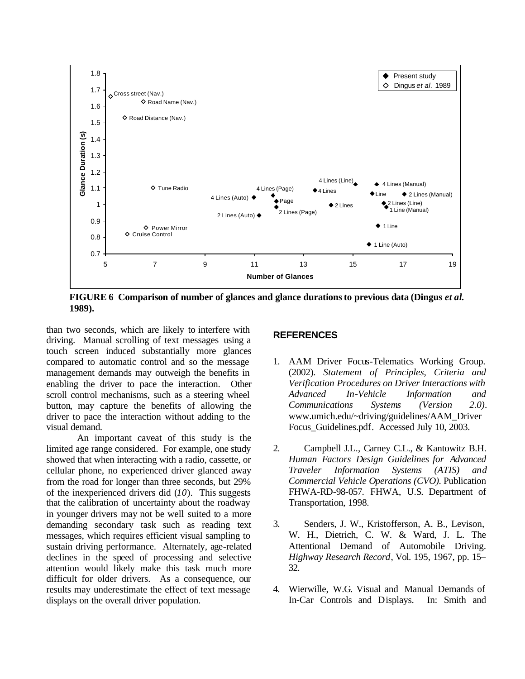

**FIGURE 6 Comparison of number of glances and glance durations to previous data (Dingus** *et al***. 1989).**

than two seconds, which are likely to interfere with driving. Manual scrolling of text messages using a touch screen induced substantially more glances compared to automatic control and so the message management demands may outweigh the benefits in enabling the driver to pace the interaction. Other scroll control mechanisms, such as a steering wheel button, may capture the benefits of allowing the driver to pace the interaction without adding to the visual demand.

An important caveat of this study is the limited age range considered. For example, one study showed that when interacting with a radio, cassette, or cellular phone, no experienced driver glanced away from the road for longer than three seconds, but 29% of the inexperienced drivers did (*10*). This suggests that the calibration of uncertainty about the roadway in younger drivers may not be well suited to a more demanding secondary task such as reading text messages, which requires efficient visual sampling to sustain driving performance. Alternately, age-related declines in the speed of processing and selective attention would likely make this task much more difficult for older drivers. As a consequence, our results may underestimate the effect of text message displays on the overall driver population.

# **REFERENCES**

- 1. AAM Driver Focus-Telematics Working Group. (2002). *Statement of Principles, Criteria and Verification Procedures on Driver Interactions with Advanced In-Vehicle Information and Communications Systems (Version 2.0)*. www.umich.edu/~driving/guidelines/AAM\_Driver Focus Guidelines.pdf. Accessed July 10, 2003.
- 2. Campbell J.L., Carney C.L., & Kantowitz B.H. *Human Factors Design Guidelines for Advanced Traveler Information Systems (ATIS) and Commercial Vehicle Operations (CVO).* Publication FHWA-RD-98-057. FHWA, U.S. Department of Transportation, 1998.
- 3. Senders, J. W., Kristofferson, A. B., Levison, W. H., Dietrich, C. W. & Ward, J. L. The Attentional Demand of Automobile Driving. *Highway Research Record*, Vol. 195, 1967, pp. 15– 32.
- 4. Wierwille, W.G. Visual and Manual Demands of In-Car Controls and Displays. In: Smith and